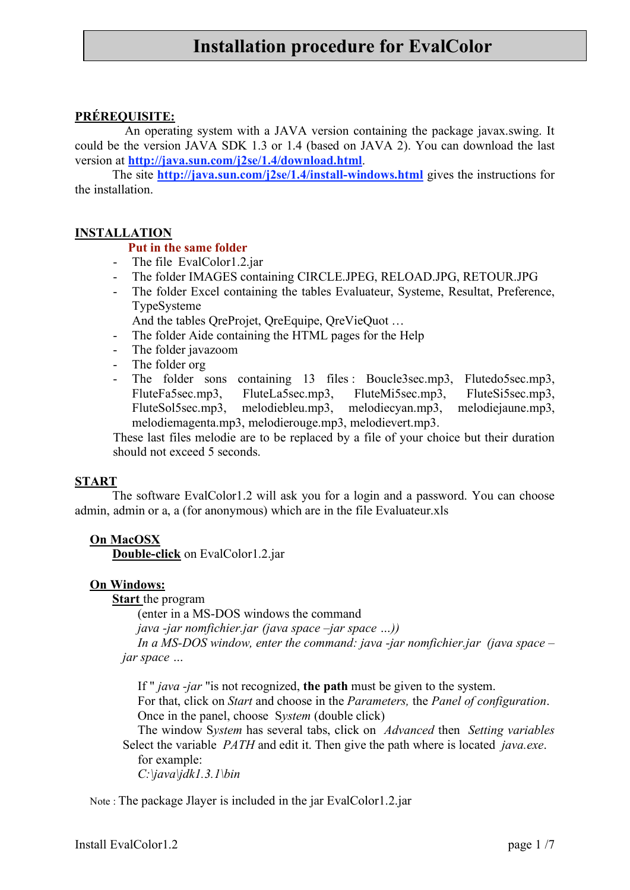# **Installation procedure for EvalColor**

# **PRÉREQUISITE:**

An operating system with a JAVA version containing the package javax.swing. It could be the version JAVA SDK 1.3 or 1.4 (based on JAVA 2). You can download the last version at **http://java.sun.com/j2se/1.4/download.html**.

The site **http://java.sun.com/j2se/1.4/install-windows.html** gives the instructions for the installation.

#### **INSTALLATION**

#### **Put in the same folder**

- The file EvalColor1.2.jar
- The folder IMAGES containing CIRCLE.JPEG, RELOAD.JPG, RETOUR.JPG
- The folder Excel containing the tables Evaluateur, Systeme, Resultat, Preference, TypeSysteme

And the tables QreProjet, QreEquipe, QreVieQuot …

- The folder Aide containing the HTML pages for the Help<br>- The folder iavazoom
- The folder javazoom
- The folder org
- The folder sons containing 13 files : Boucle3sec.mp3, Flutedo5sec.mp3, FluteFa5sec.mp3, FluteLa5sec.mp3, FluteMi5sec.mp3, FluteSi5sec.mp3, FluteSol5sec.mp3, melodiebleu.mp3, melodiecyan.mp3, melodiejaune.mp3, melodiemagenta.mp3, melodierouge.mp3, melodievert.mp3.

These last files melodie are to be replaced by a file of your choice but their duration should not exceed 5 seconds.

#### **START**

The software EvalColor1.2 will ask you for a login and a password. You can choose admin, admin or a, a (for anonymous) which are in the file Evaluateur.xls

#### **On MacOSX**

**Double-click** on EvalColor1.2.jar

#### **On Windows:**

**Start** the program

(enter in a MS-DOS windows the command

*java -jar nomfichier.jar (java space –jar space …))*

*In a MS-DOS window, enter the command: java -jar nomfichier.jar (java space – jar space …*

If " *java -jar* "is not recognized, **the path** must be given to the system.

For that, click on *Start* and choose in the *Parameters,* the *Panel of configuration*. Once in the panel, choose S*ystem* (double click)

The window S*ystem* has several tabs, click on *Advanced* then *Setting variables* Select the variable *PATH* and edit it. Then give the path where is located *java.exe*.

for example: *C:\java\jdk1.3.1\bin*

Note : The package Jlayer is included in the jar EvalColor1.2.jar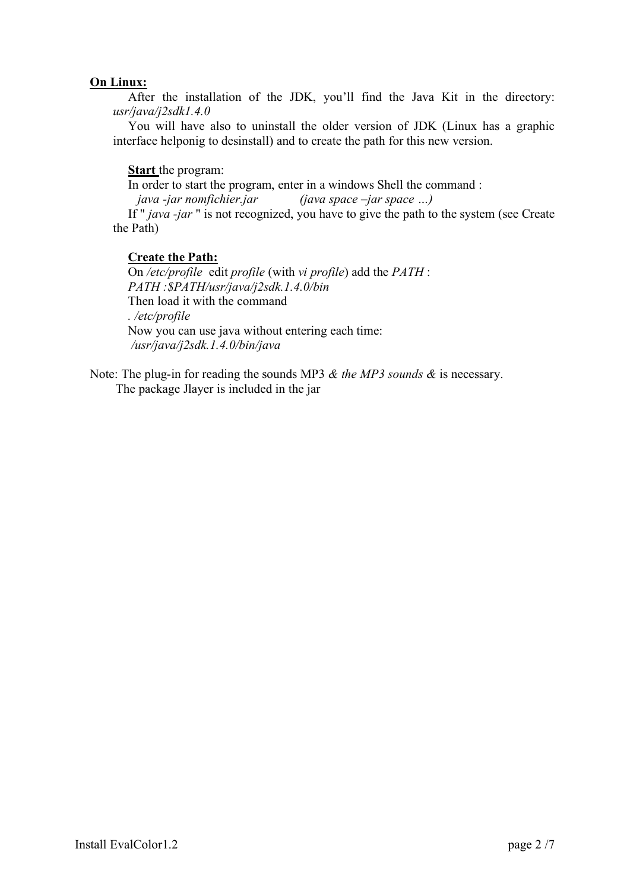## **On Linux:**

After the installation of the JDK, you'll find the Java Kit in the directory: *usr/java/j2sdk1.4.0*

You will have also to uninstall the older version of JDK (Linux has a graphic interface helponig to desinstall) and to create the path for this new version.

## **Start** the program:

In order to start the program, enter in a windows Shell the command :

*java -jar nomfichier.jar (java space –jar space …)*

If " *java -jar* " is not recognized, you have to give the path to the system (see Create the Path)

## **Create the Path:**

On */etc/profile* edit *profile* (with *vi profile*) add the *PATH* : *PATH :\$PATH/usr/java/j2sdk.1.4.0/bin* Then load it with the command *. /etc/profile* Now you can use java without entering each time: */usr/java/j2sdk.1.4.0/bin/java*

Note: The plug-in for reading the sounds MP3 *& the MP3 sounds &* is necessary. The package Jlayer is included in the jar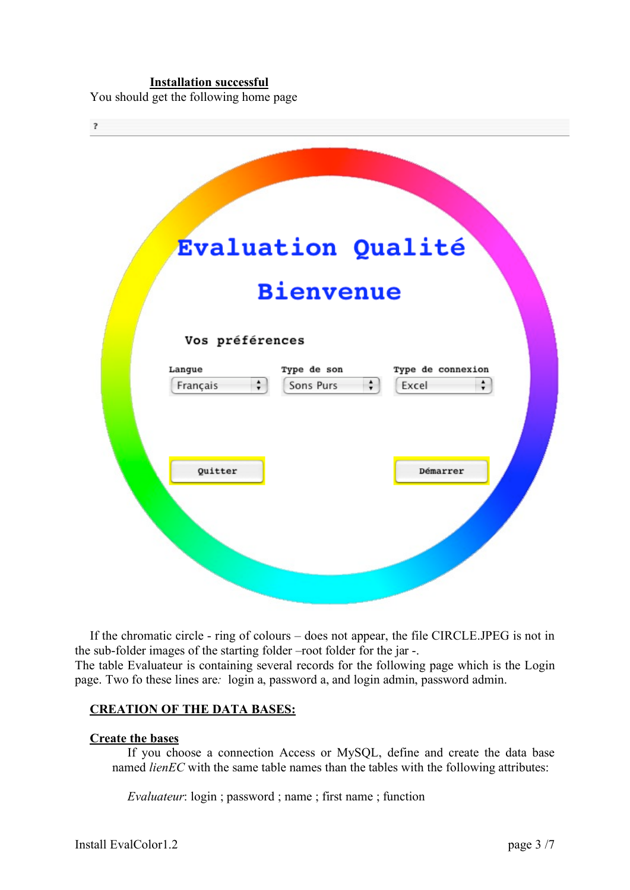#### **Installation successful**

You should get the following home page

| $\overline{\mathbf{r}}$                                                                                                                    |
|--------------------------------------------------------------------------------------------------------------------------------------------|
| <b>Evaluation Qualité</b>                                                                                                                  |
| <b>Bienvenue</b>                                                                                                                           |
| Vos préférences                                                                                                                            |
| Type de son<br>Type de connexion<br>Langue<br>$\frac{\bullet}{\mathbf{v}}$<br>$\div$<br>$\frac{1}{\tau}$<br>Français<br>Sons Purs<br>Excel |
| Quitter<br>Démarrer                                                                                                                        |
|                                                                                                                                            |

If the chromatic circle - ring of colours – does not appear, the file CIRCLE.JPEG is not in the sub-folder images of the starting folder –root folder for the jar -. The table Evaluateur is containing several records for the following page which is the Login page. Two fo these lines are*:* login a, password a, and login admin, password admin.

#### **CREATION OF THE DATA BASES:**

#### **Create the bases**

If you choose a connection Access or MySQL, define and create the data base named *lienEC* with the same table names than the tables with the following attributes:

*Evaluateur*: login ; password ; name ; first name ; function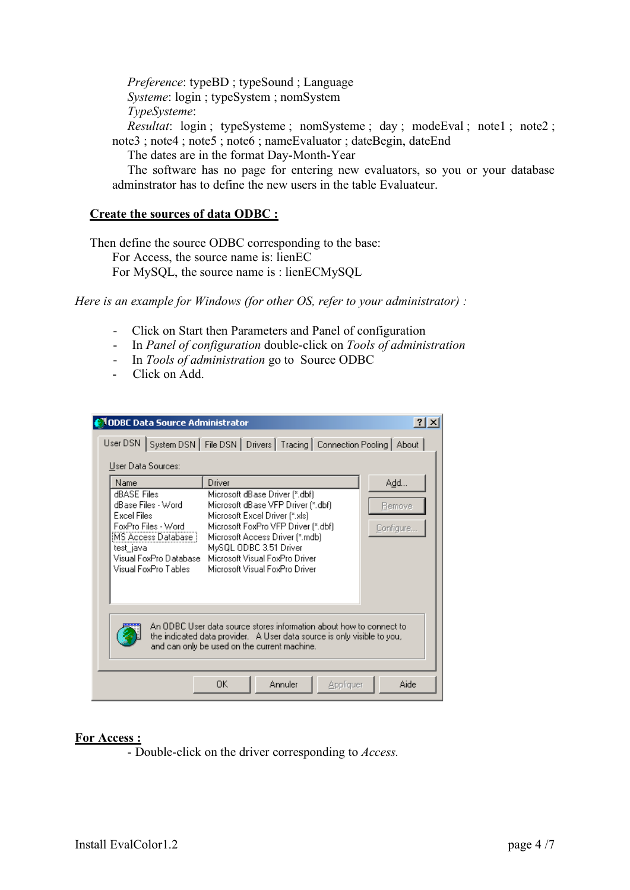*Preference*: typeBD ; typeSound ; Language *Systeme*: login ; typeSystem ; nomSystem *TypeSysteme*:

*Resultat*: login; typeSysteme; nomSysteme; day; modeEval; note1; note2; note3; note4; note5; note6; nameEvaluator; dateBegin, dateEnd

The dates are in the format Day-Month-Year

The software has no page for entering new evaluators, so you or your database adminstrator has to define the new users in the table Evaluateur.

## **Create the sources of data ODBC :**

Then define the source ODBC corresponding to the base: For Access, the source name is: lienEC For MySQL, the source name is : lienECMySQL

*Here is an example for Windows (for other OS, refer to your administrator) :*

- Click on Start then Parameters and Panel of configuration
- In *Panel of configuration* double-click on *Tools of administration*
- In *Tools of administration* go to Source ODBC
- Click on Add.

| <b>ODBC Data Source Administrator!!</b><br>$?$ $\times$<br>User DSN   System DSN   File DSN   Drivers   Tracing   Connection Pooling   About  <br>User Data Sources:                                                                 |                                                                                                                                                                                                                                                                                          |                            |  |  |
|--------------------------------------------------------------------------------------------------------------------------------------------------------------------------------------------------------------------------------------|------------------------------------------------------------------------------------------------------------------------------------------------------------------------------------------------------------------------------------------------------------------------------------------|----------------------------|--|--|
| Name<br>dBASE Files<br>dBase Files - Word<br><b>Excel Files</b><br>FoxPro Files - Word<br> MS Access Database  <br>test_java<br>Visual FoxPro Database<br>Visual FoxPro Tables.                                                      | Driver<br>Microsoft dBase Driver (*.dbf)<br>Microsoft dBase VFP Driver (*.dbf)<br>Microsoft Excel Driver (*.xls)<br>Microsoft FoxPro VFP Driver (*.dbf)<br>Microsoft Access Driver (*.mdb)<br>MySQL ODBC 3.51 Driver<br>Microsoft Visual FoxPro Driver<br>Microsoft Visual FoxPro Driver | Add<br>Remove<br>Configure |  |  |
| An ODBC User data source stores information about how to connect to<br>the indicated data provider. A User data source is only visible to you,<br>and can only be used on the current machine.<br>Annuler<br>ΩK<br>Aide<br>Appliquer |                                                                                                                                                                                                                                                                                          |                            |  |  |

## **For Access :**

- Double-click on the driver corresponding to *Access.*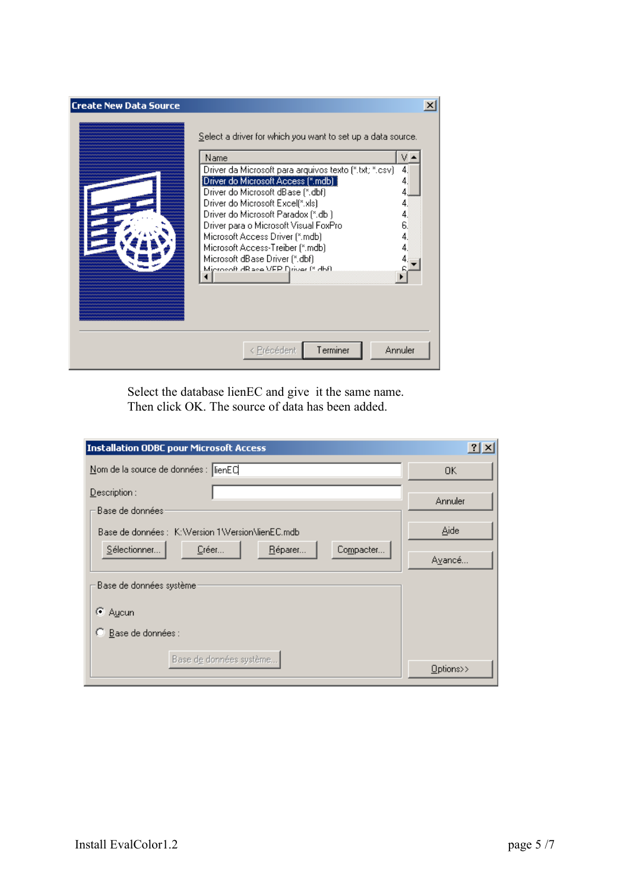| <b>Create New Data Source</b> |                                                                                                                                                                                                                                                                                                                                                                                                                                                                                             |  |
|-------------------------------|---------------------------------------------------------------------------------------------------------------------------------------------------------------------------------------------------------------------------------------------------------------------------------------------------------------------------------------------------------------------------------------------------------------------------------------------------------------------------------------------|--|
|                               | Select a driver for which you want to set up a data source.<br>Name<br>v<br>Driver da Microsoft para arquivos texto (*.txt; *.csv)<br>4.<br>[Driver do Microsoft Access [*.mdb] [<br>Driver do Microsoft dBase [*.dbf]<br>Driver do Microsoft Excel(*.xls)<br>Driver do Microsoft Paradox (*.db.)<br>Driver para o Microsoft Visual FoxPro<br>Microsoft Access Driver (*.mdb)<br>Microsoft Access-Treiber (*.mdb)<br>Microsoft dBase Driver (*.dbf)<br>Microsoft dR ase VEP Driver (* dbf). |  |
|                               | Annuler<br>Terminer<br>< Précédent                                                                                                                                                                                                                                                                                                                                                                                                                                                          |  |

Select the database lienEC and give it the same name. Then click OK. The source of data has been added.

| <b>Installation ODBC pour Microsoft Access</b>  | ? X       |  |  |
|-------------------------------------------------|-----------|--|--|
| Nom de la source de données : lienEC            | 0K        |  |  |
| $D$ escription :                                |           |  |  |
| Base de données:                                | Annuler   |  |  |
| Base de données : K:Wersion 1Wersion\lienEC.mdb | Aide      |  |  |
| Sélectionner<br>Compacter<br>Créer<br>Réparer   | Avancé    |  |  |
| Base de données système                         |           |  |  |
| C Aucun                                         |           |  |  |
| Base de données :<br>О                          |           |  |  |
| Base de données système                         |           |  |  |
|                                                 | Options>> |  |  |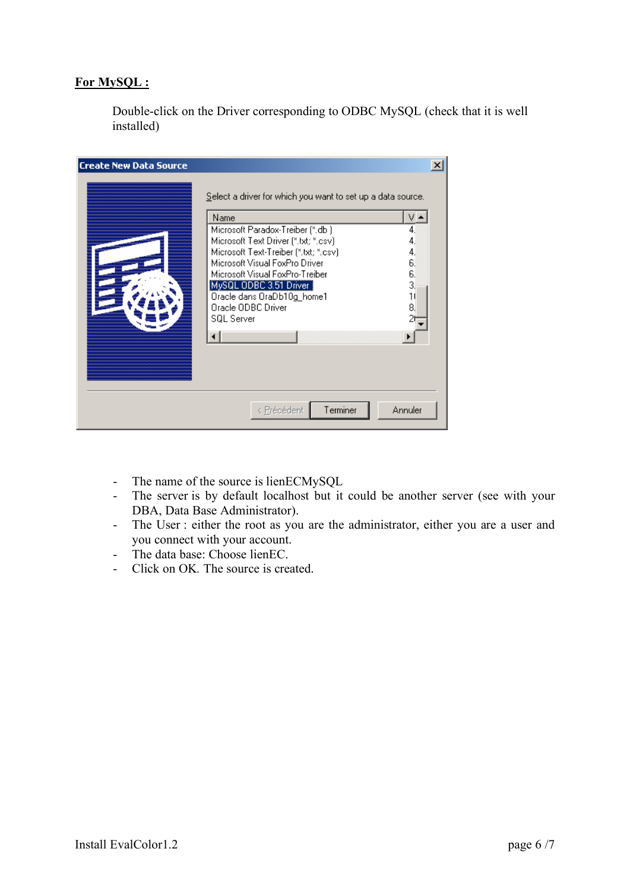# **For MySQL :**

Double-click on the Driver corresponding to ODBC MySQL (check that it is well installed)

| <b>Create New Data Source</b> |                                                                                                                                                                                                                                                                                                                                                                   |                                        |
|-------------------------------|-------------------------------------------------------------------------------------------------------------------------------------------------------------------------------------------------------------------------------------------------------------------------------------------------------------------------------------------------------------------|----------------------------------------|
|                               | Select a driver for which you want to set up a data source.<br>Name<br>Microsoft Paradox-Treiber (*.db.)<br>Microsoft Text Driver (*.txt; *.csv)<br>Microsoft Text-Treiber (*.txt; *.csv)<br>Microsoft Visual FoxPro Driver<br>Microsoft Visual FoxPro-Treiber<br>MySQL ODBC 3.51 Driver<br>Oracle dans OraDb10g_home1<br>Oracle ODBC Driver<br><b>SQL Server</b> | 4.<br>4.<br>6.<br>6.<br>3,<br>11<br>8. |
|                               | Terminer<br>< Précédent                                                                                                                                                                                                                                                                                                                                           | Annuler                                |

- The name of the source is lienECMySQL
- The server is by default localhost but it could be another server (see with your DBA, Data Base Administrator).
- The User : either the root as you are the administrator, either you are a user and you connect with your account.
- The data base: Choose lienEC.
- Click on OK*.* The source is created.